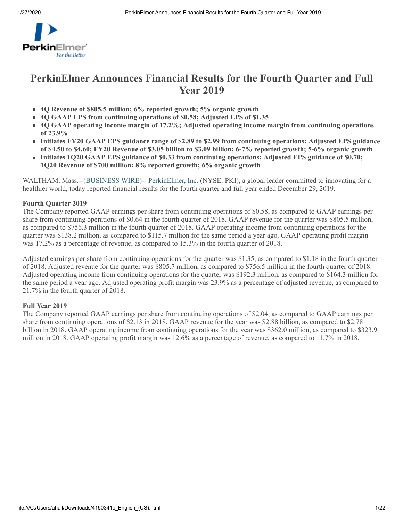

# **PerkinElmer Announces Financial Results for the Fourth Quarter and Full Year 2019**

- **4Q Revenue of \$805.5 million; 6% reported growth; 5% organic growth**
- **4Q GAAP EPS from continuing operations of \$0.58; Adjusted EPS of \$1.35**
- **4Q GAAP operating income margin of 17.2%; Adjusted operating income margin from continuing operations of 23.9%**
- **Initiates FY20 GAAP EPS guidance range of \$2.89 to \$2.99 from continuing operations; Adjusted EPS guidance of \$4.50 to \$4.60; FY20 Revenue of \$3.05 billion to \$3.09 billion; 6-7% reported growth; 5-6% organic growth**
- **Initiates 1Q20 GAAP EPS guidance of \$0.33 from continuing operations; Adjusted EPS guidance of \$0.70; 1Q20 Revenue of \$700 million; 8% reported growth; 6% organic growth**

WALTHAM, Mass.--[\(BUSINESS WIRE\)](http://www.businesswire.com/)-- [PerkinElmer, Inc.](https://cts.businesswire.com/ct/CT?id=smartlink&url=http%3A%2F%2Fwww.perkinelmer.com%2F&esheet=52164092&lan=en-US&anchor=PerkinElmer%2C+Inc.&index=1&md5=0147265e5990d6b92ef7e4f07d579564) (NYSE: PKI), a global leader committed to innovating for a healthier world, today reported financial results for the fourth quarter and full year ended December 29, 2019.

## **Fourth Quarter 2019**

The Company reported GAAP earnings per share from continuing operations of \$0.58, as compared to GAAP earnings per share from continuing operations of \$0.64 in the fourth quarter of 2018. GAAP revenue for the quarter was \$805.5 million, as compared to \$756.3 million in the fourth quarter of 2018. GAAP operating income from continuing operations for the quarter was \$138.2 million, as compared to \$115.7 million for the same period a year ago. GAAP operating profit margin was 17.2% as a percentage of revenue, as compared to 15.3% in the fourth quarter of 2018.

Adjusted earnings per share from continuing operations for the quarter was \$1.35, as compared to \$1.18 in the fourth quarter of 2018. Adjusted revenue for the quarter was \$805.7 million, as compared to \$756.5 million in the fourth quarter of 2018. Adjusted operating income from continuing operations for the quarter was \$192.3 million, as compared to \$164.3 million for the same period a year ago. Adjusted operating profit margin was 23.9% as a percentage of adjusted revenue, as compared to 21.7% in the fourth quarter of 2018.

### **Full Year 2019**

The Company reported GAAP earnings per share from continuing operations of \$2.04, as compared to GAAP earnings per share from continuing operations of \$2.13 in 2018. GAAP revenue for the year was \$2.88 billion, as compared to \$2.78 billion in 2018. GAAP operating income from continuing operations for the year was \$362.0 million, as compared to \$323.9 million in 2018. GAAP operating profit margin was 12.6% as a percentage of revenue, as compared to 11.7% in 2018.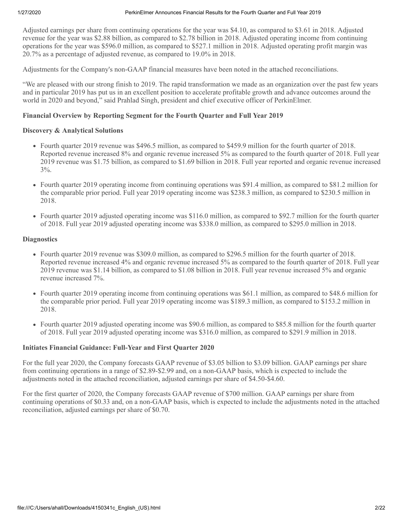Adjusted earnings per share from continuing operations for the year was \$4.10, as compared to \$3.61 in 2018. Adjusted revenue for the year was \$2.88 billion, as compared to \$2.78 billion in 2018. Adjusted operating income from continuing operations for the year was \$596.0 million, as compared to \$527.1 million in 2018. Adjusted operating profit margin was 20.7% as a percentage of adjusted revenue, as compared to 19.0% in 2018.

Adjustments for the Company's non-GAAP financial measures have been noted in the attached reconciliations.

"We are pleased with our strong finish to 2019. The rapid transformation we made as an organization over the past few years and in particular 2019 has put us in an excellent position to accelerate profitable growth and advance outcomes around the world in 2020 and beyond," said Prahlad Singh, president and chief executive officer of PerkinElmer.

# **Financial Overview by Reporting Segment for the Fourth Quarter and Full Year 2019**

## **Discovery & Analytical Solutions**

- Fourth quarter 2019 revenue was \$496.5 million, as compared to \$459.9 million for the fourth quarter of 2018. Reported revenue increased 8% and organic revenue increased 5% as compared to the fourth quarter of 2018. Full year 2019 revenue was \$1.75 billion, as compared to \$1.69 billion in 2018. Full year reported and organic revenue increased 3%.
- Fourth quarter 2019 operating income from continuing operations was \$91.4 million, as compared to \$81.2 million for the comparable prior period. Full year 2019 operating income was \$238.3 million, as compared to \$230.5 million in 2018.
- Fourth quarter 2019 adjusted operating income was \$116.0 million, as compared to \$92.7 million for the fourth quarter of 2018. Full year 2019 adjusted operating income was \$338.0 million, as compared to \$295.0 million in 2018.

## **Diagnostics**

- Fourth quarter 2019 revenue was \$309.0 million, as compared to \$296.5 million for the fourth quarter of 2018. Reported revenue increased 4% and organic revenue increased 5% as compared to the fourth quarter of 2018. Full year 2019 revenue was \$1.14 billion, as compared to \$1.08 billion in 2018. Full year revenue increased 5% and organic revenue increased 7%.
- Fourth quarter 2019 operating income from continuing operations was \$61.1 million, as compared to \$48.6 million for the comparable prior period. Full year 2019 operating income was \$189.3 million, as compared to \$153.2 million in 2018.
- Fourth quarter 2019 adjusted operating income was \$90.6 million, as compared to \$85.8 million for the fourth quarter of 2018. Full year 2019 adjusted operating income was \$316.0 million, as compared to \$291.9 million in 2018.

# **Initiates Financial Guidance: Full-Year and First Quarter 2020**

For the full year 2020, the Company forecasts GAAP revenue of \$3.05 billion to \$3.09 billion. GAAP earnings per share from continuing operations in a range of \$2.89-\$2.99 and, on a non-GAAP basis, which is expected to include the adjustments noted in the attached reconciliation, adjusted earnings per share of \$4.50-\$4.60.

For the first quarter of 2020, the Company forecasts GAAP revenue of \$700 million. GAAP earnings per share from continuing operations of \$0.33 and, on a non-GAAP basis, which is expected to include the adjustments noted in the attached reconciliation, adjusted earnings per share of \$0.70.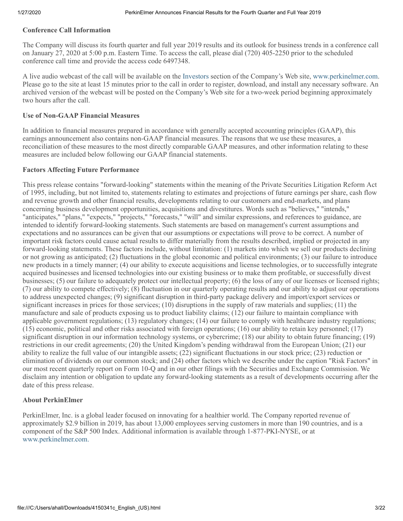# **Conference Call Information**

The Company will discuss its fourth quarter and full year 2019 results and its outlook for business trends in a conference call on January 27, 2020 at 5:00 p.m. Eastern Time. To access the call, please dial (720) 405-2250 prior to the scheduled conference call time and provide the access code 6497348.

A live audio webcast of the call will be available on the [Investors](https://cts.businesswire.com/ct/CT?id=smartlink&url=http%3A%2F%2Fwww.perkinelmer.com%2Fcorporate%2Finvestors%2F&esheet=52164092&lan=en-US&anchor=Investors&index=2&md5=d25739357dbf592c7f95a27820bf882d) section of the Company's Web site, [www.perkinelmer.com](https://cts.businesswire.com/ct/CT?id=smartlink&url=http%3A%2F%2Fwww.perkinelmer.com&esheet=52164092&lan=en-US&anchor=www.perkinelmer.com&index=3&md5=07b53d98a65d382a37d6f10972be6806). Please go to the site at least 15 minutes prior to the call in order to register, download, and install any necessary software. An archived version of the webcast will be posted on the Company's Web site for a two-week period beginning approximately two hours after the call.

# **Use of Non-GAAP Financial Measures**

In addition to financial measures prepared in accordance with generally accepted accounting principles (GAAP), this earnings announcement also contains non-GAAP financial measures. The reasons that we use these measures, a reconciliation of these measures to the most directly comparable GAAP measures, and other information relating to these measures are included below following our GAAP financial statements.

# **Factors Affecting Future Performance**

This press release contains "forward-looking" statements within the meaning of the Private Securities Litigation Reform Act of 1995, including, but not limited to, statements relating to estimates and projections of future earnings per share, cash flow and revenue growth and other financial results, developments relating to our customers and end-markets, and plans concerning business development opportunities, acquisitions and divestitures. Words such as "believes," "intends," "anticipates," "plans," "expects," "projects," "forecasts," "will" and similar expressions, and references to guidance, are intended to identify forward-looking statements. Such statements are based on management's current assumptions and expectations and no assurances can be given that our assumptions or expectations will prove to be correct. A number of important risk factors could cause actual results to differ materially from the results described, implied or projected in any forward-looking statements. These factors include, without limitation: (1) markets into which we sell our products declining or not growing as anticipated; (2) fluctuations in the global economic and political environments; (3) our failure to introduce new products in a timely manner; (4) our ability to execute acquisitions and license technologies, or to successfully integrate acquired businesses and licensed technologies into our existing business or to make them profitable, or successfully divest businesses; (5) our failure to adequately protect our intellectual property; (6) the loss of any of our licenses or licensed rights; (7) our ability to compete effectively; (8) fluctuation in our quarterly operating results and our ability to adjust our operations to address unexpected changes; (9) significant disruption in third-party package delivery and import/export services or significant increases in prices for those services; (10) disruptions in the supply of raw materials and supplies; (11) the manufacture and sale of products exposing us to product liability claims; (12) our failure to maintain compliance with applicable government regulations; (13) regulatory changes; (14) our failure to comply with healthcare industry regulations; (15) economic, political and other risks associated with foreign operations; (16) our ability to retain key personnel; (17) significant disruption in our information technology systems, or cybercrime; (18) our ability to obtain future financing; (19) restrictions in our credit agreements; (20) the United Kingdom's pending withdrawal from the European Union; (21) our ability to realize the full value of our intangible assets; (22) significant fluctuations in our stock price; (23) reduction or elimination of dividends on our common stock; and (24) other factors which we describe under the caption "Risk Factors" in our most recent quarterly report on Form 10-Q and in our other filings with the Securities and Exchange Commission. We disclaim any intention or obligation to update any forward-looking statements as a result of developments occurring after the date of this press release.

# **About PerkinElmer**

PerkinElmer, Inc. is a global leader focused on innovating for a healthier world. The Company reported revenue of approximately \$2.9 billion in 2019, has about 13,000 employees serving customers in more than 190 countries, and is a component of the S&P 500 Index. Additional information is available through 1-877-PKI-NYSE, or at [www.perkinelmer.com.](https://cts.businesswire.com/ct/CT?id=smartlink&url=http%3A%2F%2Fwww.perkinelmer.com&esheet=52164092&lan=en-US&anchor=www.perkinelmer.com.&index=4&md5=a994e7615c0da4b0074f588e092663ed)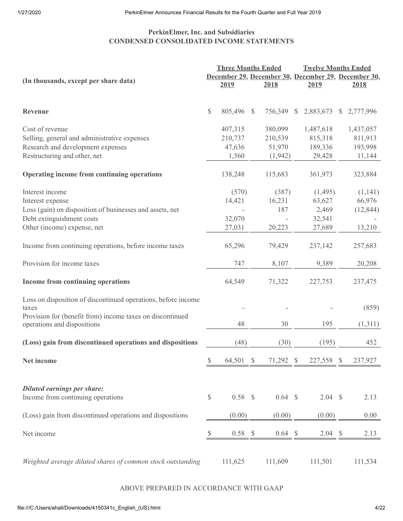# **PerkinElmer, Inc. and Subsidiaries CONDENSED CONSOLIDATED INCOME STATEMENTS**

|                                                                                          | <b>Three Months Ended</b><br><b>Twelve Months Ended</b> |            |    |           |                                                     |                        |  |           |
|------------------------------------------------------------------------------------------|---------------------------------------------------------|------------|----|-----------|-----------------------------------------------------|------------------------|--|-----------|
|                                                                                          |                                                         |            |    |           | December 29, December 30, December 29, December 30, |                        |  |           |
| (In thousands, except per share data)                                                    |                                                         | 2019       |    | 2018      |                                                     | 2019                   |  | 2018      |
| Revenue                                                                                  | \$                                                      | 805,496 \$ |    | 756,349   | $\mathbb{S}$                                        | 2,883,673 \$ 2,777,996 |  |           |
| Cost of revenue                                                                          |                                                         | 407,315    |    | 380,099   |                                                     | 1,487,618              |  | 1,437,057 |
| Selling, general and administrative expenses                                             |                                                         | 210,737    |    | 210,539   |                                                     | 815,318                |  | 811,913   |
| Research and development expenses                                                        |                                                         | 47,636     |    | 51,970    |                                                     | 189,336                |  | 193,998   |
| Restructuring and other, net                                                             |                                                         | 1,560      |    | (1,942)   |                                                     | 29,428                 |  | 11,144    |
| Operating income from continuing operations                                              |                                                         | 138,248    |    | 115,683   |                                                     | 361,973                |  | 323,884   |
| Interest income                                                                          |                                                         | (570)      |    | (387)     |                                                     | (1,495)                |  | (1,141)   |
| Interest expense                                                                         |                                                         | 14,421     |    | 16,231    |                                                     | 63,627                 |  | 66,976    |
| Loss (gain) on disposition of businesses and assets, net                                 |                                                         |            |    | 187       |                                                     | 2,469                  |  | (12, 844) |
| Debt extinguishment costs                                                                |                                                         | 32,070     |    |           |                                                     | 32,541                 |  |           |
| Other (income) expense, net                                                              |                                                         | 27,031     |    | 20,223    |                                                     | 27,689                 |  | 13,210    |
| Income from continuing operations, before income taxes                                   |                                                         | 65,296     |    | 79,429    |                                                     | 237,142                |  | 257,683   |
| Provision for income taxes                                                               |                                                         | 747        |    | 8,107     |                                                     | 9,389                  |  | 20,208    |
| Income from continuing operations                                                        |                                                         | 64,549     |    | 71,322    |                                                     | 227,753                |  | 237,475   |
| Loss on disposition of discontinued operations, before income<br>taxes                   |                                                         |            |    |           |                                                     |                        |  | (859)     |
| Provision for (benefit from) income taxes on discontinued<br>operations and dispositions |                                                         | 48         |    | 30        |                                                     | 195                    |  | (1,311)   |
| (Loss) gain from discontinued operations and dispositions                                |                                                         | (48)       |    | (30)      |                                                     | (195)                  |  | 452       |
| Net income                                                                               | \$                                                      | 64,501     | \$ | 71,292    | \$                                                  | 227,558 \$             |  | 237,927   |
|                                                                                          |                                                         |            |    |           |                                                     |                        |  |           |
| Diluted earnings per share:<br>Income from continuing operations                         | \$                                                      | $0.58$ \$  |    | $0.64$ \$ |                                                     | $2.04$ \$              |  | 2.13      |
|                                                                                          |                                                         |            |    |           |                                                     |                        |  |           |
| (Loss) gain from discontinued operations and dispositions                                |                                                         | (0.00)     |    | (0.00)    |                                                     | (0.00)                 |  | 0.00      |
| Net income                                                                               | \$                                                      | $0.58$ \$  |    | $0.64$ \$ |                                                     | $2.04$ \$              |  | 2.13      |
| Weighted average diluted shares of common stock outstanding                              |                                                         | 111,625    |    | 111,609   |                                                     | 111,501                |  | 111,534   |

ABOVE PREPARED IN ACCORDANCE WITH GAAP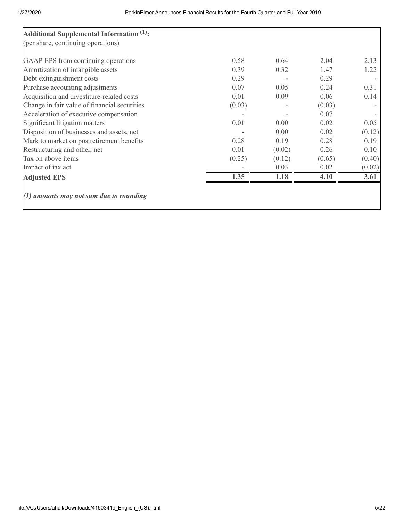| <b>Additional Supplemental Information (1):</b> |        |        |        |        |
|-------------------------------------------------|--------|--------|--------|--------|
| (per share, continuing operations)              |        |        |        |        |
|                                                 |        |        |        |        |
| GAAP EPS from continuing operations             | 0.58   | 0.64   | 2.04   | 2.13   |
| Amortization of intangible assets               | 0.39   | 0.32   | 1.47   | 1.22   |
| Debt extinguishment costs                       | 0.29   |        | 0.29   |        |
| Purchase accounting adjustments                 | 0.07   | 0.05   | 0.24   | 0.31   |
| Acquisition and divestiture-related costs       | 0.01   | 0.09   | 0.06   | 0.14   |
| Change in fair value of financial securities    | (0.03) |        | (0.03) |        |
| Acceleration of executive compensation          |        |        | 0.07   |        |
| Significant litigation matters                  | 0.01   | 0.00   | 0.02   | 0.05   |
| Disposition of businesses and assets, net       |        | 0.00   | 0.02   | (0.12) |
| Mark to market on postretirement benefits       | 0.28   | 0.19   | 0.28   | 0.19   |
| Restructuring and other, net                    | 0.01   | (0.02) | 0.26   | 0.10   |
| Tax on above items                              | (0.25) | (0.12) | (0.65) | (0.40) |
| Impact of tax act                               |        | 0.03   | 0.02   | (0.02) |
| <b>Adjusted EPS</b>                             | 1.35   | 1.18   | 4.10   | 3.61   |
|                                                 |        |        |        |        |
| $(1)$ amounts may not sum due to rounding       |        |        |        |        |
|                                                 |        |        |        |        |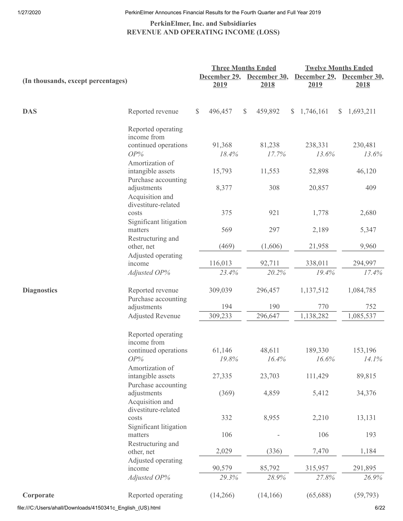1/27/2020 PerkinElmer Announces Financial Results for the Fourth Quarter and Full Year 2019

# **PerkinElmer, Inc. and Subsidiaries REVENUE AND OPERATING INCOME (LOSS)**

|                                    |                                                                     |                                      | <b>Three Months Ended</b> | <b>Twelve Months Ended</b> |                                   |  |  |
|------------------------------------|---------------------------------------------------------------------|--------------------------------------|---------------------------|----------------------------|-----------------------------------|--|--|
| (In thousands, except percentages) |                                                                     | December 29,<br>December 30,<br>2019 |                           | 2019                       | December 29, December 30,<br>2018 |  |  |
| <b>DAS</b>                         | Reported revenue                                                    | $\mathcal{S}$<br>496,457             | 459,892<br>$\mathbb{S}$   | \$1,746,161                | 1,693,211<br>$\mathbb{S}$         |  |  |
|                                    | Reported operating<br>income from<br>continued operations<br>$OP\%$ | 91,368<br>18.4%                      | 81,238<br>17.7%           | 238,331<br>13.6%           | 230,481<br>13.6%                  |  |  |
|                                    | Amortization of<br>intangible assets<br>Purchase accounting         | 15,793                               | 11,553                    | 52,898                     | 46,120                            |  |  |
|                                    | adjustments<br>Acquisition and                                      | 8,377                                | 308                       | 20,857                     | 409                               |  |  |
|                                    | divestiture-related<br>costs<br>Significant litigation              | 375                                  | 921                       | 1,778                      | 2,680                             |  |  |
|                                    | matters<br>Restructuring and                                        | 569                                  | 297                       | 2,189                      | 5,347                             |  |  |
|                                    | other, net<br>Adjusted operating                                    | (469)                                | (1,606)                   | 21,958                     | 9,960                             |  |  |
|                                    | income<br>Adjusted OP%                                              | 116,013<br>23.4%                     | 92,711<br>20.2%           | 338,011<br>19.4%           | 294,997<br>17.4%                  |  |  |
| <b>Diagnostics</b>                 | Reported revenue                                                    | 309,039                              | 296,457                   | 1,137,512                  | 1,084,785                         |  |  |
|                                    | Purchase accounting<br>adjustments                                  | 194                                  | 190                       | 770                        | 752                               |  |  |
|                                    | <b>Adjusted Revenue</b>                                             | 309,233                              | 296,647                   | 1,138,282                  | 1,085,537                         |  |  |
|                                    | Reported operating<br>income from<br>continued operations<br>$OP\%$ | 61,146<br>19.8%                      | 48,611<br>16.4%           | 189,330<br>16.6%           | 153,196<br>14.1%                  |  |  |
|                                    | Amortization of<br>intangible assets<br>Purchase accounting         | 27,335                               | 23,703                    | 111,429                    | 89,815                            |  |  |
|                                    | adjustments<br>Acquisition and                                      | (369)                                | 4,859                     | 5,412                      | 34,376                            |  |  |
|                                    | divestiture-related<br>costs<br>Significant litigation              | 332                                  | 8,955                     | 2,210                      | 13,131                            |  |  |
|                                    | matters<br>Restructuring and                                        | 106                                  |                           | 106                        | 193                               |  |  |
|                                    | other, net<br>Adjusted operating                                    | 2,029                                | (336)                     | 7,470                      | 1,184                             |  |  |
|                                    | income<br>Adjusted OP%                                              | 90,579<br>29.3%                      | 85,792<br>28.9%           | 315,957<br>27.8%           | 291,895<br>26.9%                  |  |  |
| Corporate                          | Reported operating                                                  | (14,266)                             | (14,166)                  | (65,688)                   | (59, 793)                         |  |  |

file:///C:/Users/ahall/Downloads/4150341c\_English\_(US).html 6/22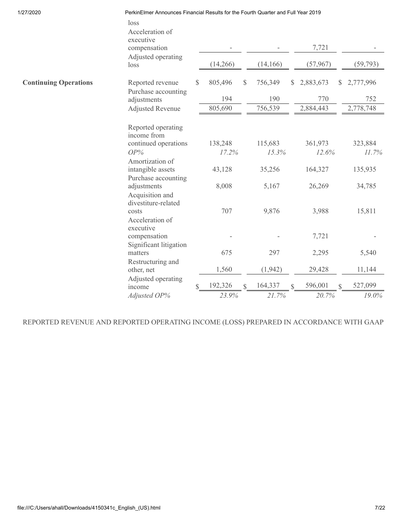| 1/27/2020                    | PerkinElmer Announces Financial Results for the Fourth Quarter and Full Year 2019  |              |          |               |              |                    |   |           |
|------------------------------|------------------------------------------------------------------------------------|--------------|----------|---------------|--------------|--------------------|---|-----------|
|                              | loss<br>Acceleration of<br>executive<br>compensation<br>Adjusted operating<br>loss |              | (14,266) | (14, 166)     |              | 7,721<br>(57, 967) |   | (59, 793) |
| <b>Continuing Operations</b> | Reported revenue<br>Purchase accounting                                            | $\mathbb{S}$ | 805,496  | \$<br>756,349 | $\mathbb{S}$ | 2,883,673          | S | 2,777,996 |
|                              | adjustments                                                                        |              | 194      | 190           |              | 770                |   | 752       |
|                              | <b>Adjusted Revenue</b>                                                            |              | 805,690  | 756,539       |              | 2,884,443          |   | 2,778,748 |
|                              | Reported operating<br>income from<br>continued operations                          |              | 138,248  | 115,683       |              | 361,973            |   | 323,884   |
|                              | $OP\%$<br>Amortization of                                                          |              | 17.2%    | 15.3%         |              | 12.6%              |   | 11.7%     |
|                              | intangible assets<br>Purchase accounting                                           |              | 43,128   | 35,256        |              | 164,327            |   | 135,935   |
|                              | adjustments<br>Acquisition and<br>divestiture-related                              |              | 8,008    | 5,167         |              | 26,269             |   | 34,785    |
|                              | costs<br>Acceleration of<br>executive                                              |              | 707      | 9,876         |              | 3,988              |   | 15,811    |
|                              | compensation<br>Significant litigation                                             |              |          |               |              | 7,721              |   |           |
|                              | matters<br>Restructuring and                                                       |              | 675      | 297           |              | 2,295              |   | 5,540     |
|                              | other, net                                                                         |              | 1,560    | (1, 942)      |              | 29,428             |   | 11,144    |
|                              | Adjusted operating<br>income                                                       | $\mathbb{S}$ | 192,326  | 164,337       |              | 596,001            |   | 527,099   |
|                              | Adjusted OP%                                                                       |              | 23.9%    | 21.7%         |              | 20.7%              |   | 19.0%     |

REPORTED REVENUE AND REPORTED OPERATING INCOME (LOSS) PREPARED IN ACCORDANCE WITH GAAP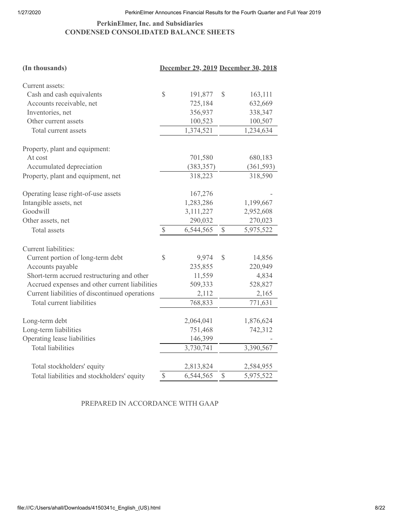# **PerkinElmer, Inc. and Subsidiaries CONDENSED CONSOLIDATED BALANCE SHEETS**

| (In thousands)                                 | December 29, 2019 December 30, 2018 |            |               |            |  |  |
|------------------------------------------------|-------------------------------------|------------|---------------|------------|--|--|
| Current assets:                                |                                     |            |               |            |  |  |
| Cash and cash equivalents                      | \$                                  | 191,877    | \$            | 163,111    |  |  |
| Accounts receivable, net                       |                                     | 725,184    |               | 632,669    |  |  |
| Inventories, net                               |                                     | 356,937    |               | 338,347    |  |  |
| Other current assets                           |                                     | 100,523    |               | 100,507    |  |  |
| Total current assets                           |                                     | 1,374,521  |               | 1,234,634  |  |  |
| Property, plant and equipment:                 |                                     |            |               |            |  |  |
| At cost                                        |                                     | 701,580    |               | 680,183    |  |  |
| Accumulated depreciation                       |                                     | (383, 357) |               | (361, 593) |  |  |
| Property, plant and equipment, net             |                                     | 318,223    |               | 318,590    |  |  |
| Operating lease right-of-use assets            |                                     | 167,276    |               |            |  |  |
| Intangible assets, net                         |                                     | 1,283,286  |               | 1,199,667  |  |  |
| Goodwill                                       |                                     | 3,111,227  |               | 2,952,608  |  |  |
| Other assets, net                              |                                     | 290,032    |               | 270,023    |  |  |
| <b>Total</b> assets                            | $\mathbb{S}$                        | 6,544,565  | $\mathcal{S}$ | 5,975,522  |  |  |
| Current liabilities:                           |                                     |            |               |            |  |  |
| Current portion of long-term debt              | $\mathbb{S}$                        | 9,974      | \$            | 14,856     |  |  |
| Accounts payable                               |                                     | 235,855    |               | 220,949    |  |  |
| Short-term accrued restructuring and other     |                                     | 11,559     |               | 4,834      |  |  |
| Accrued expenses and other current liabilities |                                     | 509,333    |               | 528,827    |  |  |
| Current liabilities of discontinued operations |                                     | 2,112      |               | 2,165      |  |  |
| Total current liabilities                      |                                     | 768,833    |               | 771,631    |  |  |
| Long-term debt                                 |                                     | 2,064,041  |               | 1,876,624  |  |  |
| Long-term liabilities                          |                                     | 751,468    |               | 742,312    |  |  |
| Operating lease liabilities                    |                                     | 146,399    |               |            |  |  |
| <b>Total liabilities</b>                       |                                     | 3,730,741  |               | 3,390,567  |  |  |
| Total stockholders' equity                     |                                     | 2,813,824  |               | 2,584,955  |  |  |
| Total liabilities and stockholders' equity     | $\mathbb{S}$                        | 6,544,565  | $\mathbb{S}$  | 5,975,522  |  |  |

# PREPARED IN ACCORDANCE WITH GAAP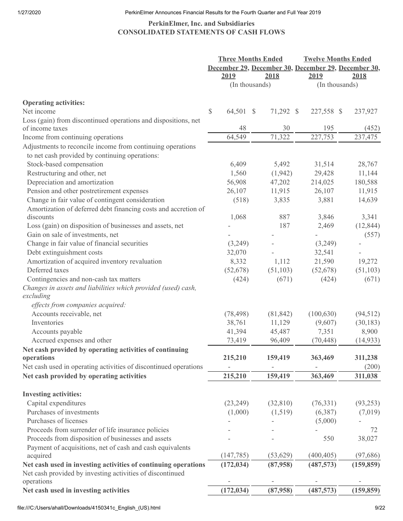# **PerkinElmer, Inc. and Subsidiaries CONSOLIDATED STATEMENTS OF CASH FLOWS**

|                                                                  |                 | <b>Three Months Ended</b> | <b>Twelve Months Ended</b>                          |             |  |  |
|------------------------------------------------------------------|-----------------|---------------------------|-----------------------------------------------------|-------------|--|--|
|                                                                  |                 |                           | December 29, December 30, December 29, December 30, |             |  |  |
|                                                                  | 2019            | 2018                      | 2019                                                | <u>2018</u> |  |  |
|                                                                  |                 | (In thousands)            | (In thousands)                                      |             |  |  |
| <b>Operating activities:</b>                                     |                 |                           |                                                     |             |  |  |
| Net income                                                       | \$<br>64,501 \$ | 71,292 \$                 | 227,558 \$                                          | 237,927     |  |  |
| Loss (gain) from discontinued operations and dispositions, net   |                 |                           |                                                     |             |  |  |
| of income taxes                                                  | 48              | 30                        | 195                                                 | (452)       |  |  |
| Income from continuing operations                                | 64,549          | 71,322                    | 227,753                                             | 237,475     |  |  |
| Adjustments to reconcile income from continuing operations       |                 |                           |                                                     |             |  |  |
| to net cash provided by continuing operations:                   |                 |                           |                                                     |             |  |  |
| Stock-based compensation                                         | 6,409           | 5,492                     | 31,514                                              | 28,767      |  |  |
| Restructuring and other, net                                     | 1,560           | (1,942)                   | 29,428                                              | 11,144      |  |  |
| Depreciation and amortization                                    | 56,908          | 47,202                    | 214,025                                             | 180,588     |  |  |
| Pension and other postretirement expenses                        | 26,107          | 11,915                    | 26,107                                              | 11,915      |  |  |
| Change in fair value of contingent consideration                 | (518)           | 3,835                     | 3,881                                               | 14,639      |  |  |
| Amortization of deferred debt financing costs and accretion of   |                 |                           |                                                     |             |  |  |
| discounts                                                        | 1,068           | 887                       | 3,846                                               | 3,341       |  |  |
| Loss (gain) on disposition of businesses and assets, net         |                 | 187                       | 2,469                                               | (12, 844)   |  |  |
| Gain on sale of investments, net                                 |                 |                           |                                                     | (557)       |  |  |
| Change in fair value of financial securities                     | (3,249)         |                           | (3,249)                                             |             |  |  |
| Debt extinguishment costs                                        | 32,070          |                           | 32,541                                              |             |  |  |
| Amortization of acquired inventory revaluation                   | 8,332           | 1,112                     | 21,590                                              | 19,272      |  |  |
| Deferred taxes                                                   | (52, 678)       | (51,103)                  | (52, 678)                                           | (51,103)    |  |  |
| Contingencies and non-cash tax matters                           | (424)           | (671)                     | (424)                                               | (671)       |  |  |
| Changes in assets and liabilities which provided (used) cash,    |                 |                           |                                                     |             |  |  |
| excluding                                                        |                 |                           |                                                     |             |  |  |
| effects from companies acquired:                                 |                 |                           |                                                     |             |  |  |
| Accounts receivable, net                                         | (78, 498)       | (81, 842)                 | (100, 630)                                          | (94, 512)   |  |  |
| Inventories                                                      | 38,761          | 11,129                    | (9,607)                                             | (30, 183)   |  |  |
| Accounts payable                                                 | 41,394          | 45,487                    | 7,351                                               | 8,900       |  |  |
| Accrued expenses and other                                       | 73,419          | 96,409                    | (70, 448)                                           | (14, 933)   |  |  |
| Net cash provided by operating activities of continuing          |                 |                           |                                                     |             |  |  |
| operations                                                       | 215,210         | 159,419                   | 363,469                                             | 311,238     |  |  |
| Net cash used in operating activities of discontinued operations |                 |                           |                                                     | (200)       |  |  |
| Net cash provided by operating activities                        | 215,210         | 159,419                   | 363,469                                             | 311,038     |  |  |
|                                                                  |                 |                           |                                                     |             |  |  |
| <b>Investing activities:</b>                                     |                 |                           |                                                     |             |  |  |
| Capital expenditures                                             | (23,249)        | (32, 810)                 | (76, 331)                                           | (93, 253)   |  |  |
| Purchases of investments                                         | (1,000)         | (1,519)                   | (6,387)                                             | (7,019)     |  |  |
| Purchases of licenses                                            |                 |                           | (5,000)                                             |             |  |  |
| Proceeds from surrender of life insurance policies               |                 |                           |                                                     | 72          |  |  |
| Proceeds from disposition of businesses and assets               |                 |                           | 550                                                 | 38,027      |  |  |
| Payment of acquisitions, net of cash and cash equivalents        |                 |                           |                                                     |             |  |  |
| acquired                                                         | (147, 785)      | (53, 629)                 | (400, 405)                                          | (97,686)    |  |  |
| Net cash used in investing activities of continuing operations   | (172, 034)      | (87,958)                  | (487, 573)                                          | (159, 859)  |  |  |
| Net cash provided by investing activities of discontinued        |                 |                           |                                                     |             |  |  |
| operations                                                       |                 |                           |                                                     |             |  |  |
| Net cash used in investing activities                            | (172, 034)      | (87,958)                  | (487, 573)                                          | (159, 859)  |  |  |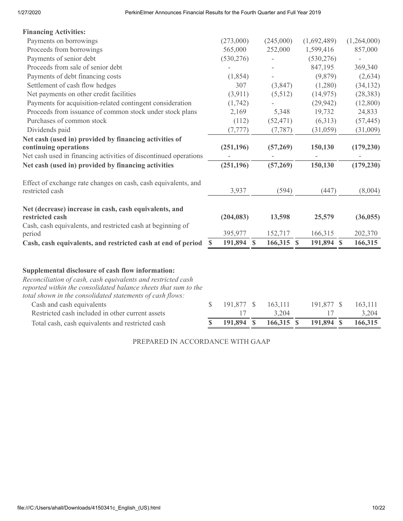| <b>Financing Activities:</b>                                                                                                                                                                                                                      |              |            |              |            |             |               |
|---------------------------------------------------------------------------------------------------------------------------------------------------------------------------------------------------------------------------------------------------|--------------|------------|--------------|------------|-------------|---------------|
| Payments on borrowings                                                                                                                                                                                                                            |              | (273,000)  |              | (245,000)  | (1,692,489) | (1,264,000)   |
| Proceeds from borrowings                                                                                                                                                                                                                          |              | 565,000    |              | 252,000    | 1,599,416   | 857,000       |
| Payments of senior debt                                                                                                                                                                                                                           |              | (530, 276) |              |            | (530, 276)  | $\frac{1}{2}$ |
| Proceeds from sale of senior debt                                                                                                                                                                                                                 |              |            |              |            | 847,195     | 369,340       |
| Payments of debt financing costs                                                                                                                                                                                                                  |              | (1,854)    |              |            | (9,879)     | (2,634)       |
| Settlement of cash flow hedges                                                                                                                                                                                                                    |              | 307        |              | (3,847)    | (1,280)     | (34, 132)     |
| Net payments on other credit facilities                                                                                                                                                                                                           |              | (3,911)    |              | (5,512)    | (14, 975)   | (28, 383)     |
| Payments for acquisition-related contingent consideration                                                                                                                                                                                         |              | (1,742)    |              |            | (29, 942)   | (12,800)      |
| Proceeds from issuance of common stock under stock plans                                                                                                                                                                                          |              | 2,169      |              | 5,348      | 19,732      | 24,833        |
| Purchases of common stock                                                                                                                                                                                                                         |              | (112)      |              | (52, 471)  | (6,313)     | (57, 445)     |
| Dividends paid                                                                                                                                                                                                                                    |              | (7, 777)   |              | (7, 787)   | (31,059)    | (31,009)      |
| Net cash (used in) provided by financing activities of                                                                                                                                                                                            |              |            |              |            |             |               |
| continuing operations                                                                                                                                                                                                                             |              | (251, 196) |              | (57,269)   | 150,130     | (179, 230)    |
| Net cash used in financing activities of discontinued operations                                                                                                                                                                                  |              |            |              |            | ÷,          |               |
| Net cash (used in) provided by financing activities                                                                                                                                                                                               |              | (251, 196) |              | (57,269)   | 150,130     | (179, 230)    |
| Effect of exchange rate changes on cash, cash equivalents, and<br>restricted cash                                                                                                                                                                 |              | 3,937      |              | (594)      | (447)       | (8,004)       |
| Net (decrease) increase in cash, cash equivalents, and<br>restricted cash<br>Cash, cash equivalents, and restricted cash at beginning of                                                                                                          |              | (204, 083) |              | 13,598     | 25,579      | (36, 055)     |
| period                                                                                                                                                                                                                                            |              | 395,977    |              | 152,717    | 166,315     | 202,370       |
| Cash, cash equivalents, and restricted cash at end of period                                                                                                                                                                                      | $\mathbb{S}$ | 191,894    | $\mathbb{S}$ | 166,315 \$ | 191,894 \$  | 166,315       |
| Supplemental disclosure of cash flow information:<br>Reconciliation of cash, cash equivalents and restricted cash<br>reported within the consolidated balance sheets that sum to the<br>total shown in the consolidated statements of cash flows: |              |            |              |            |             |               |
| Cash and cash equivalents                                                                                                                                                                                                                         | $\mathbb{S}$ | 191,877    | <sup>S</sup> | 163,111    | 191,877 \$  | 163,111       |
| Restricted cash included in other current assets                                                                                                                                                                                                  |              | 17         |              | 3,204      | 17          | 3,204         |
| Total cash, cash equivalents and restricted cash                                                                                                                                                                                                  | $\mathbb{S}$ | 191,894 \$ |              | 166,315 \$ | 191,894 \$  | 166,315       |

PREPARED IN ACCORDANCE WITH GAAP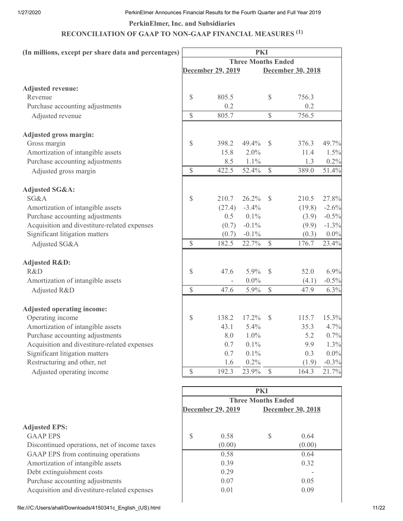# **RECONCILIATION OF GAAP TO NON-GAAP FINANCIAL MEASURES (1)**

| (In millions, except per share data and percentages) | <b>PKI</b>   |                   |                           |               |                   |          |  |  |  |
|------------------------------------------------------|--------------|-------------------|---------------------------|---------------|-------------------|----------|--|--|--|
|                                                      |              |                   | <b>Three Months Ended</b> |               |                   |          |  |  |  |
|                                                      |              | December 29, 2019 |                           |               | December 30, 2018 |          |  |  |  |
| <b>Adjusted revenue:</b>                             |              |                   |                           |               |                   |          |  |  |  |
| Revenue                                              | \$           | 805.5             |                           | $\mathbb{S}$  | 756.3             |          |  |  |  |
| Purchase accounting adjustments                      |              | 0.2               |                           |               | 0.2               |          |  |  |  |
| Adjusted revenue                                     | \$           | 805.7             |                           | \$            | 756.5             |          |  |  |  |
| <b>Adjusted gross margin:</b>                        |              |                   |                           |               |                   |          |  |  |  |
| Gross margin                                         | \$           | 398.2             | 49.4%                     | $\mathcal{S}$ | 376.3             | 49.7%    |  |  |  |
| Amortization of intangible assets                    |              | 15.8              | 2.0%                      |               | 11.4              | 1.5%     |  |  |  |
| Purchase accounting adjustments                      |              | 8.5               | 1.1%                      |               | 1.3               | 0.2%     |  |  |  |
| Adjusted gross margin                                | $\mathbb{S}$ | 422.5             | 52.4%                     | $\mathbb{S}$  | 389.0             | 51.4%    |  |  |  |
| <b>Adjusted SG&amp;A:</b>                            |              |                   |                           |               |                   |          |  |  |  |
| SG&A                                                 | \$           | 210.7             | 26.2%                     | $\mathcal{S}$ | 210.5             | 27.8%    |  |  |  |
| Amortization of intangible assets                    |              | (27.4)            | $-3.4%$                   |               | (19.8)            | $-2.6%$  |  |  |  |
| Purchase accounting adjustments                      |              | 0.5               | 0.1%                      |               | (3.9)             | $-0.5\%$ |  |  |  |
| Acquisition and divestiture-related expenses         |              | (0.7)             | $-0.1\%$                  |               | (9.9)             | $-1.3%$  |  |  |  |
| Significant litigation matters                       |              | (0.7)             | $-0.1\%$                  |               | (0.3)             | $0.0\%$  |  |  |  |
| Adjusted SG&A                                        | $\mathbb{S}$ | 182.5             | 22.7%                     | $\mathbb{S}$  | 176.7             | 23.4%    |  |  |  |
| <b>Adjusted R&amp;D:</b>                             |              |                   |                           |               |                   |          |  |  |  |
| R&D                                                  | \$           | 47.6              | 5.9%                      | $\mathcal{S}$ | 52.0              | 6.9%     |  |  |  |
| Amortization of intangible assets                    |              |                   | $0.0\%$                   |               | (4.1)             | $-0.5\%$ |  |  |  |
| Adjusted R&D                                         | \$           | 47.6              | 5.9%                      | $\mathbb{S}$  | 47.9              | 6.3%     |  |  |  |
| <b>Adjusted operating income:</b>                    |              |                   |                           |               |                   |          |  |  |  |
| Operating income                                     | \$           | 138.2             | 17.2%                     | $\mathbb{S}$  | 115.7             | 15.3%    |  |  |  |
| Amortization of intangible assets                    |              | 43.1              | 5.4%                      |               | 35.3              | 4.7%     |  |  |  |
| Purchase accounting adjustments                      |              | 8.0               | 1.0%                      |               | 5.2               | 0.7%     |  |  |  |
| Acquisition and divestiture-related expenses         |              | 0.7               | 0.1%                      |               | 9.9               | 1.3%     |  |  |  |
| Significant litigation matters                       |              | 0.7               | 0.1%                      |               | 0.3               | 0.0%     |  |  |  |
| Restructuring and other, net                         |              | 1.6               | 0.2%                      |               | (1.9)             | $-0.3\%$ |  |  |  |
| Adjusted operating income                            | $\mathbb{S}$ | 192.3             | 23.9%                     | $\mathcal{S}$ | 164.3             | 21.7%    |  |  |  |
|                                                      |              |                   |                           | <b>PKI</b>    |                   |          |  |  |  |
|                                                      |              |                   | <b>Three Months Ended</b> |               |                   |          |  |  |  |
|                                                      |              | December 29, 2019 |                           |               | December 30, 2018 |          |  |  |  |
|                                                      |              |                   |                           |               |                   |          |  |  |  |
| <b>Adjusted EPS:</b>                                 |              |                   |                           |               |                   |          |  |  |  |
| <b>GAAP EPS</b>                                      | $\mathbb{S}$ | 0.58              |                           | $\mathbb{S}$  | 0.64              |          |  |  |  |
| Discontinued operations, net of income taxes         |              | (0.00)            |                           |               | (0.00)            |          |  |  |  |
| GAAP EPS from continuing operations                  |              | 0.58              |                           |               | 0.64              |          |  |  |  |
| Amortization of intangible assets                    |              | 0.39              |                           |               | 0.32              |          |  |  |  |
| Debt extinguishment costs                            |              | 0.29              |                           |               |                   |          |  |  |  |
| Purchase accounting adjustments                      |              | 0.07              |                           |               | 0.05              |          |  |  |  |
| Acquisition and divestiture-related expenses         |              | 0.01              |                           |               | 0.09              |          |  |  |  |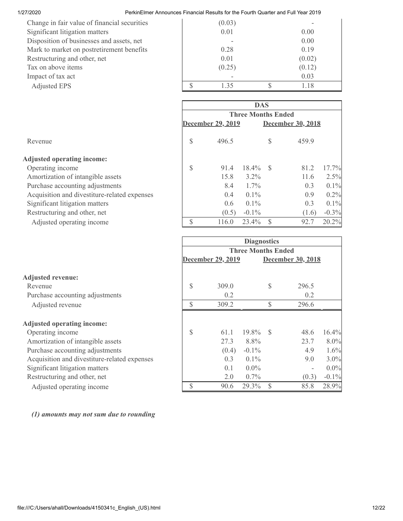#### 1/27/2020 PerkinElmer Announces Financial Results for the Fourth Quarter and Full Year 2019

| Change in fair value of financial securities | (0.03) |        |
|----------------------------------------------|--------|--------|
| Significant litigation matters               | 0.01   | 0.00   |
| Disposition of businesses and assets, net    |        | 0.00   |
| Mark to market on postretirement benefits    | 0.28   | 0.19   |
| Restructuring and other, net                 | 0.01   | (0.02) |
| Tax on above items                           | (0.25) | (0.12) |
| Impact of tax act                            |        | 0.03   |
| <b>Adjusted EPS</b>                          | 1.35   | 1.18   |

|                                              |    | <b>DAS</b>                |             |    |                   |          |  |  |  |  |  |
|----------------------------------------------|----|---------------------------|-------------|----|-------------------|----------|--|--|--|--|--|
|                                              |    | <b>Three Months Ended</b> |             |    |                   |          |  |  |  |  |  |
|                                              |    | December 29, 2019         |             |    | December 30, 2018 |          |  |  |  |  |  |
| Revenue                                      | \$ | 496.5                     |             | \$ | 459.9             |          |  |  |  |  |  |
| diusted operating income:                    |    |                           |             |    |                   |          |  |  |  |  |  |
| Operating income                             | \$ | 91.4                      | $18.4\%$ \$ |    | 81.2              | 17.7%    |  |  |  |  |  |
| Amortization of intangible assets            |    | 15.8                      | $3.2\%$     |    | 11.6              | 2.5%     |  |  |  |  |  |
| Purchase accounting adjustments              |    | 8.4                       | $1.7\%$     |    | 0.3               | $0.1\%$  |  |  |  |  |  |
| Acquisition and divestiture-related expenses |    | 0.4                       | $0.1\%$     |    | 0.9               | 0.2%     |  |  |  |  |  |
| Significant litigation matters               |    | 0.6                       | $0.1\%$     |    | 0.3               | $0.1\%$  |  |  |  |  |  |
| Restructuring and other, net                 |    | (0.5)                     | $-0.1\%$    |    | (1.6)             | $-0.3\%$ |  |  |  |  |  |
| Adjusted operating income                    | S  | 116.0                     | 23.4%       |    | 92.7              | 20.2%    |  |  |  |  |  |

|                                              |                           | <b>Diagnostics</b> |          |              |                          |          |  |  |  |
|----------------------------------------------|---------------------------|--------------------|----------|--------------|--------------------------|----------|--|--|--|
|                                              | <b>Three Months Ended</b> |                    |          |              |                          |          |  |  |  |
|                                              |                           | December 29, 2019  |          |              | December 30, 2018        |          |  |  |  |
| <b>Adjusted revenue:</b>                     |                           |                    |          |              |                          |          |  |  |  |
| Revenue                                      | $\mathbb{S}$              | 309.0              |          | $\mathbb{S}$ | 296.5                    |          |  |  |  |
| Purchase accounting adjustments              |                           | 0.2                |          |              | 0.2                      |          |  |  |  |
| Adjusted revenue                             | \$                        | 309.2              |          | \$           | 296.6                    |          |  |  |  |
| <b>Adjusted operating income:</b>            |                           |                    |          |              |                          |          |  |  |  |
| Operating income                             | $\mathbb{S}$              | 61.1               | 19.8%    | - \$         | 48.6                     | 16.4%    |  |  |  |
| Amortization of intangible assets            |                           | 27.3               | 8.8%     |              | 23.7                     | 8.0%     |  |  |  |
| Purchase accounting adjustments              |                           | (0.4)              | $-0.1\%$ |              | 4.9                      | 1.6%     |  |  |  |
| Acquisition and divestiture-related expenses |                           | 0.3                | $0.1\%$  |              | 9.0                      | 3.0%     |  |  |  |
| Significant litigation matters               |                           | 0.1                | $0.0\%$  |              | $\overline{\phantom{0}}$ | $0.0\%$  |  |  |  |
| Restructuring and other, net                 |                           | 2.0                | $0.7\%$  |              | (0.3)                    | $-0.1\%$ |  |  |  |
| Adjusted operating income                    |                           | 90.6               | 29.3%    | S            | 85.8                     | 28.9%    |  |  |  |

*(1) amounts may not sum due to rounding*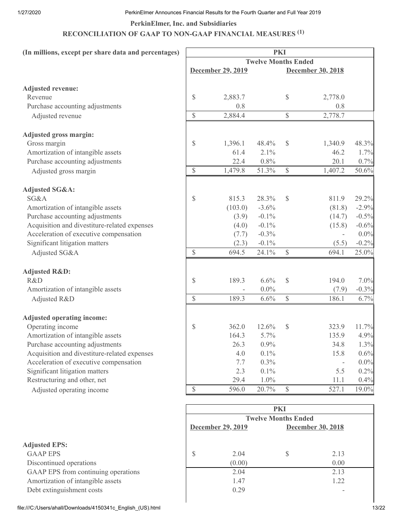# **RECONCILIATION OF GAAP TO NON-GAAP FINANCIAL MEASURES (1)**

# **(In millions, except per share data and percentages) PKI Twelve Months Ended December 29, 2019 December 30, 2018 Adjusted revenue:** Revenue \$ 2,883.7 \$ 2,778.0 Purchase accounting adjustments 0.8 0.8 0.8 0.8 Adjusted revenue <br>  $\boxed{\$}$  2,884.4  $\boxed{\$}$  2,778.7 **Adjusted gross margin:** Gross margin 5 1,396.1 48.4% \$ 1,340.9 48.3% Amortization of intangible assets 61.4 2.1% 46.2 1.7% Purchase accounting adjustments  $22.4$  0.8% 20.1 0.7% Adjusted gross margin  $\begin{array}{|l|}\n\hline\n8\n\end{array}$  1,479.8 51.3% \$ 1,407.2 50.6% **Adjusted SG&A:**  $SG&A$  815.3 28.3% \$ 811.9 29.2% Amortization of intangible assets (103.0)  $-3.6\%$  (81.8)  $-2.9\%$ Purchase accounting adjustments (3.9) -0.1% (14.7) -0.5% Acquisition and divestiture-related expenses  $(4.0)$   $-0.1\%$   $(15.8)$   $-0.6\%$ Acceleration of executive compensation  $(7.7)$   $-0.3\%$   $-0.0\%$ Significant litigation matters  $(2.3)$   $-0.1\%$   $(5.5)$   $-0.2\%$ Adjusted SG&A 694.5 694.5 24.1% 694.5 694.1 25.0% **Adjusted R&D:** R&D \$ 189.3 6.6% \$ 194.0 7.0% Amortization of intangible assets  $0.0\%$  (7.9) -0.3% Adjusted R&D <br>
8 189.3 6.6% \$ 186.1 6.7% **Adjusted operating income:** Operating income  $\boxed{\$}$   $\boxed{\$}$   $362.0$   $12.6\%$   $\boxed{\$}$   $323.9$   $11.7\%$ Amortization of intangible assets 164.3 5.7% 135.9 4.9% Purchase accounting adjustments  $26.3$  0.9% 34.8 1.3% Acquisition and divestiture-related expenses 4.0 0.1% 15.8 0.6% Acceleration of executive compensation  $7.7 \t 0.3\%$  -  $0.0\%$ Significant litigation matters 2.3 0.1% 5.5 0.2% Restructuring and other, net 29.4 1.0% 11.1 0.4% Adjusted operating income <br>  $\frac{1}{2}$  \$ 596.0 20.7% \$ 527.1 19.0% **PKI Twelve Months Ended December 29, 2019 December 30, 2018 Adjusted EPS:**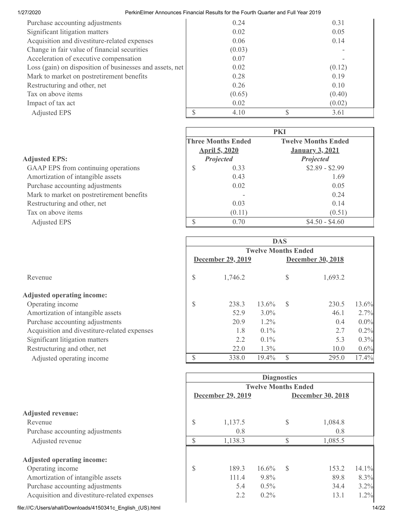Adjusted **EPS**:

### 1/27/2020 PerkinElmer Announces Financial Results for the Fourth Quarter and Full Year 2019

| Purchase accounting adjustments                          | 0.24   | 0.31   |
|----------------------------------------------------------|--------|--------|
| Significant litigation matters                           | 0.02   | 0.05   |
| Acquisition and divestiture-related expenses             | 0.06   | 0.14   |
| Change in fair value of financial securities             | (0.03) |        |
| Acceleration of executive compensation                   | 0.07   |        |
| Loss (gain) on disposition of businesses and assets, net | 0.02   | (0.12) |
| Mark to market on postretirement benefits                | 0.28   | 0.19   |
| Restructuring and other, net                             | 0.26   | 0.10   |
| Tax on above items                                       | (0.65) | (0.40) |
| Impact of tax act                                        | 0.02   | (0.02) |
| <b>Adjusted EPS</b>                                      | 4.10   | 3.61   |

|                                           |                           | <b>PKI</b> |                            |  |  |
|-------------------------------------------|---------------------------|------------|----------------------------|--|--|
|                                           | <b>Three Months Ended</b> |            | <b>Twelve Months Ended</b> |  |  |
|                                           | <u>April 5, 2020</u>      |            | <u>January 3, 2021</u>     |  |  |
| djusted EPS:                              | Projected                 |            | Projected                  |  |  |
| GAAP EPS from continuing operations       | S                         | 0.33       | $$2.89 - $2.99$            |  |  |
| Amortization of intangible assets         |                           | 0.43       | 1.69                       |  |  |
| Purchase accounting adjustments           |                           | 0.02       | 0.05                       |  |  |
| Mark to market on postretirement benefits |                           |            | 0.24                       |  |  |
| Restructuring and other, net              |                           | 0.03       | 0.14                       |  |  |
| Tax on above items                        |                           | (0.11)     | (0.51)                     |  |  |
| <b>Adjusted EPS</b>                       |                           | 0.70       | $$4.50 - $4.60$            |  |  |

|                                              |    | <b>DAS</b>        |                            |              |                   |         |
|----------------------------------------------|----|-------------------|----------------------------|--------------|-------------------|---------|
|                                              |    |                   | <b>Twelve Months Ended</b> |              |                   |         |
|                                              |    | December 29, 2019 |                            |              | December 30, 2018 |         |
| Revenue                                      | \$ | 1,746.2           |                            | \$           | 1,693.2           |         |
| <b>Adjusted operating income:</b>            |    |                   |                            |              |                   |         |
| Operating income                             | \$ | 238.3             | $13.6\%$                   | <sup>S</sup> | 230.5             | 13.6%   |
| Amortization of intangible assets            |    | 52.9              | $3.0\%$                    |              | 46.1              | 2.7%    |
| Purchase accounting adjustments              |    | 20.9              | $1.2\%$                    |              | 0.4               | $0.0\%$ |
| Acquisition and divestiture-related expenses |    | 1.8               | $0.1\%$                    |              | 2.7               | 0.2%    |
| Significant litigation matters               |    | 2.2               | $0.1\%$                    |              | 5.3               | 0.3%    |
| Restructuring and other, net                 |    | 22.0              | $1.3\%$                    |              | 10.0              | 0.6%    |
| Adjusted operating income                    | ¢  | 338.0             | 19.4%                      | \$           | 295.0             | 17.4%   |

|                                              |    | <b>Diagnostics</b><br><b>Twelve Months Ended</b> |          |               |                          |       |
|----------------------------------------------|----|--------------------------------------------------|----------|---------------|--------------------------|-------|
|                                              |    |                                                  |          |               |                          |       |
|                                              |    | <b>December 29, 2019</b>                         |          |               | <b>December 30, 2018</b> |       |
| <b>Adjusted revenue:</b>                     |    |                                                  |          |               |                          |       |
| Revenue                                      | \$ | 1,137.5                                          |          | \$            | 1,084.8                  |       |
| Purchase accounting adjustments              |    | 0.8                                              |          |               | 0.8                      |       |
| Adjusted revenue                             | S  | 1,138.3                                          |          | \$            | 1,085.5                  |       |
| <b>Adjusted operating income:</b>            |    |                                                  |          |               |                          |       |
| Operating income                             | \$ | 189.3                                            | $16.6\%$ | <sup>\$</sup> | 153.2                    | 14.1% |
| Amortization of intangible assets            |    | 111.4                                            | 9.8%     |               | 89.8                     | 8.3%  |
| Purchase accounting adjustments              |    | 5.4                                              | $0.5\%$  |               | 34.4                     | 3.2%  |
| Acquisition and divestiture-related expenses |    | 2.2                                              | $0.2\%$  |               | 13.1                     | 1.2%  |
|                                              |    |                                                  |          |               |                          |       |

file:///C:/Users/ahall/Downloads/4150341c\_English\_(US).html 14/22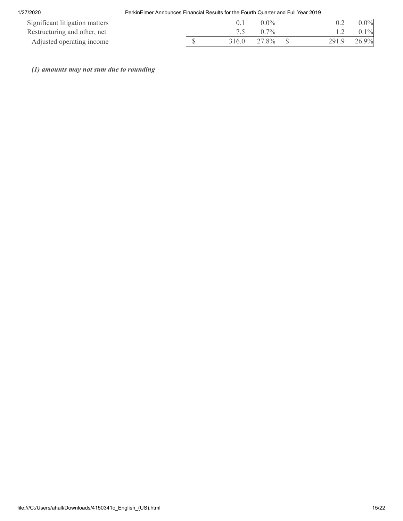| 1/27/2020 |  |
|-----------|--|
|           |  |

#### PerkinElmer Announces Financial Results for the Fourth Quarter and Full Year 2019

| Significant litigation matters |       | $0.0\%$ |       | $0.0\%$ |
|--------------------------------|-------|---------|-------|---------|
| Restructuring and other, net   |       | $0.7\%$ |       | $0.1\%$ |
| Adjusted operating income      | 316.0 | 27.8%   | 291.9 | 26.9%   |

*(1) amounts may not sum due to rounding*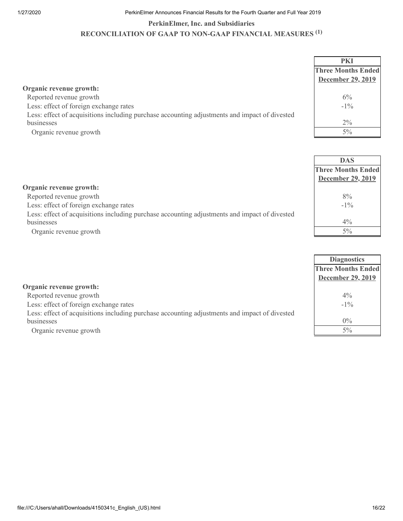# **RECONCILIATION OF GAAP TO NON-GAAP FINANCIAL MEASURES (1)**

|                                                                                               | <b>PKI</b>                |
|-----------------------------------------------------------------------------------------------|---------------------------|
|                                                                                               | <b>Three Months Ended</b> |
|                                                                                               | <b>December 29, 2019</b>  |
| Organic revenue growth:                                                                       |                           |
| Reported revenue growth                                                                       | 6%                        |
| Less: effect of foreign exchange rates                                                        | $-1\%$                    |
| Less: effect of acquisitions including purchase accounting adjustments and impact of divested |                           |
| businesses                                                                                    | $2\%$                     |
| Organic revenue growth                                                                        | $5\%$                     |

| <b>DAS</b>                |
|---------------------------|
| <b>Three Months Ended</b> |
| December 29, 2019         |
|                           |
| 8%                        |
| $-1\%$                    |
|                           |
| $4\%$                     |
|                           |

| <b>Diagnostics</b>        |
|---------------------------|
| <b>Three Months Ended</b> |
| <b>December 29, 2019</b>  |
|                           |
| $4\%$                     |
| $-1\%$                    |
|                           |
| $0\%$                     |
| 50/6                      |

|                                                                                               | Three Month |
|-----------------------------------------------------------------------------------------------|-------------|
|                                                                                               | December 29 |
| Organic revenue growth:                                                                       |             |
| Reported revenue growth                                                                       | 8%          |
| Less: effect of foreign exchange rates                                                        | $-1\%$      |
| Less: effect of acquisitions including purchase accounting adjustments and impact of divested |             |
| businesses                                                                                    | $4\%$       |
| Organic revenue growth                                                                        | $5\%$       |

## **Organic revenue growth:**

Reported revenue growth Less: effect of foreign exchange rates Less: effect of acquisitions including purchase accounting adjustments and impact of divested  $b$ usinesses  $0\%$ 

Organic revenue growth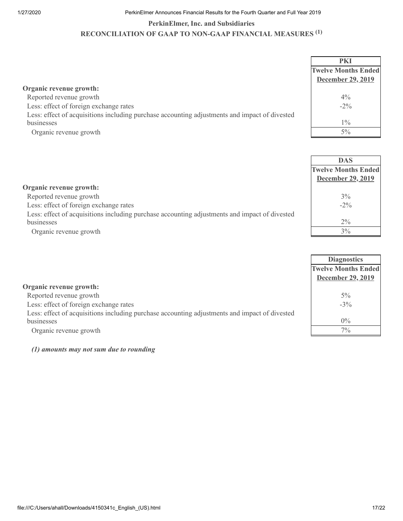# **RECONCILIATION OF GAAP TO NON-GAAP FINANCIAL MEASURES (1)**

|                                                                                               | <b>PKI</b>                 |
|-----------------------------------------------------------------------------------------------|----------------------------|
|                                                                                               | <b>Twelve Months Ended</b> |
|                                                                                               | December 29, 2019          |
| Organic revenue growth:                                                                       |                            |
| Reported revenue growth                                                                       | $4\%$                      |
| Less: effect of foreign exchange rates                                                        | $-2\%$                     |
| Less: effect of acquisitions including purchase accounting adjustments and impact of divested |                            |
| businesses                                                                                    | $1\%$                      |
| Organic revenue growth                                                                        | $5\%$                      |

| DAS                        |
|----------------------------|
| <b>Twelve Months Ended</b> |
| December 29, 2019          |
|                            |
| $3\%$                      |
| $-2\%$                     |
|                            |
| $2\%$                      |
|                            |

| <b>Diagnostics</b>         |
|----------------------------|
| <b>Twelve Months Ended</b> |
| December 29, 2019          |
|                            |
| $5\%$                      |
| $-3\%$                     |
|                            |
| $0\%$                      |
|                            |

# **Organic revenue growth:** Reported revenue growth Less: effect of foreign exchange rates Less: effect of acquisitions including purchase accounting adjustments and impact of divested businesses 2% Organic revenue growth

# **Organic revenue growth:** Reported revenue growth Less: effect of foreign exchange rates Less: effect of acquisitions including purchase accounting adjustments and impact of divested businesses and  $0\%$ Organic revenue growth

# *(1) amounts may not sum due to rounding*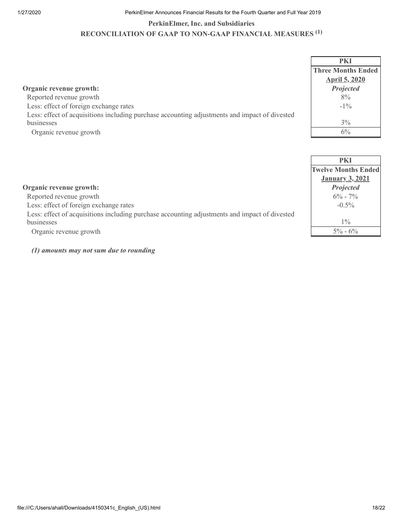# **RECONCILIATION OF GAAP TO NON-GAAP FINANCIAL MEASURES (1)**

|                                                                                               | <b>PKI</b>                |
|-----------------------------------------------------------------------------------------------|---------------------------|
|                                                                                               | <b>Three Months Ended</b> |
|                                                                                               | <u>April 5, 2020</u>      |
| Organic revenue growth:                                                                       | Projected                 |
| Reported revenue growth                                                                       | $8\%$                     |
| Less: effect of foreign exchange rates                                                        | $-1\%$                    |
| Less: effect of acquisitions including purchase accounting adjustments and impact of divested |                           |
| businesses                                                                                    | $3\%$                     |
| Organic revenue growth                                                                        | $6\%$                     |

| PKI                        |  |
|----------------------------|--|
| <b>Twelve Months Ended</b> |  |
| <b>January 3, 2021</b>     |  |
| Projected                  |  |
| $6\% - 7\%$                |  |
| $-0.5\%$                   |  |
|                            |  |
| $1\%$                      |  |
| $5\% - 6\%$                |  |

**Organic revenue growth:** Reported revenue growth Less: effect of foreign exchange rates Less: effect of acquisitions including purchase accounting adjustments and impact of divested  $b$ usinesses  $1\%$ Organic revenue growth

*(1) amounts may not sum due to rounding*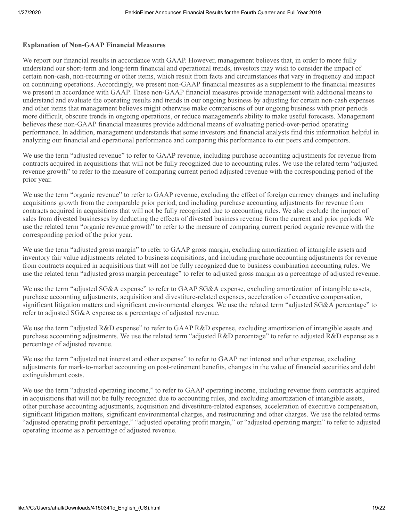## **Explanation of Non-GAAP Financial Measures**

We report our financial results in accordance with GAAP. However, management believes that, in order to more fully understand our short-term and long-term financial and operational trends, investors may wish to consider the impact of certain non-cash, non-recurring or other items, which result from facts and circumstances that vary in frequency and impact on continuing operations. Accordingly, we present non-GAAP financial measures as a supplement to the financial measures we present in accordance with GAAP. These non-GAAP financial measures provide management with additional means to understand and evaluate the operating results and trends in our ongoing business by adjusting for certain non-cash expenses and other items that management believes might otherwise make comparisons of our ongoing business with prior periods more difficult, obscure trends in ongoing operations, or reduce management's ability to make useful forecasts. Management believes these non-GAAP financial measures provide additional means of evaluating period-over-period operating performance. In addition, management understands that some investors and financial analysts find this information helpful in analyzing our financial and operational performance and comparing this performance to our peers and competitors.

We use the term "adjusted revenue" to refer to GAAP revenue, including purchase accounting adjustments for revenue from contracts acquired in acquisitions that will not be fully recognized due to accounting rules. We use the related term "adjusted revenue growth" to refer to the measure of comparing current period adjusted revenue with the corresponding period of the prior year.

We use the term "organic revenue" to refer to GAAP revenue, excluding the effect of foreign currency changes and including acquisitions growth from the comparable prior period, and including purchase accounting adjustments for revenue from contracts acquired in acquisitions that will not be fully recognized due to accounting rules. We also exclude the impact of sales from divested businesses by deducting the effects of divested business revenue from the current and prior periods. We use the related term "organic revenue growth" to refer to the measure of comparing current period organic revenue with the corresponding period of the prior year.

We use the term "adjusted gross margin" to refer to GAAP gross margin, excluding amortization of intangible assets and inventory fair value adjustments related to business acquisitions, and including purchase accounting adjustments for revenue from contracts acquired in acquisitions that will not be fully recognized due to business combination accounting rules. We use the related term "adjusted gross margin percentage" to refer to adjusted gross margin as a percentage of adjusted revenue.

We use the term "adjusted SG&A expense" to refer to GAAP SG&A expense, excluding amortization of intangible assets, purchase accounting adjustments, acquisition and divestiture-related expenses, acceleration of executive compensation, significant litigation matters and significant environmental charges. We use the related term "adjusted SG&A percentage" to refer to adjusted SG&A expense as a percentage of adjusted revenue.

We use the term "adjusted R&D expense" to refer to GAAP R&D expense, excluding amortization of intangible assets and purchase accounting adjustments. We use the related term "adjusted R&D percentage" to refer to adjusted R&D expense as a percentage of adjusted revenue.

We use the term "adjusted net interest and other expense" to refer to GAAP net interest and other expense, excluding adjustments for mark-to-market accounting on post-retirement benefits, changes in the value of financial securities and debt extinguishment costs.

We use the term "adjusted operating income," to refer to GAAP operating income, including revenue from contracts acquired in acquisitions that will not be fully recognized due to accounting rules, and excluding amortization of intangible assets, other purchase accounting adjustments, acquisition and divestiture-related expenses, acceleration of executive compensation, significant litigation matters, significant environmental charges, and restructuring and other charges. We use the related terms "adjusted operating profit percentage," "adjusted operating profit margin," or "adjusted operating margin" to refer to adjusted operating income as a percentage of adjusted revenue.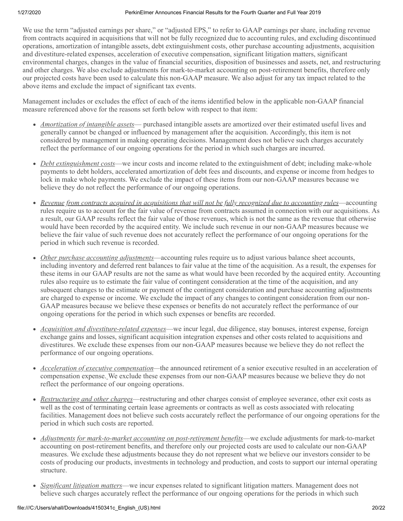We use the term "adjusted earnings per share," or "adjusted EPS," to refer to GAAP earnings per share, including revenue from contracts acquired in acquisitions that will not be fully recognized due to accounting rules, and excluding discontinued operations, amortization of intangible assets, debt extinguishment costs, other purchase accounting adjustments, acquisition and divestiture-related expenses, acceleration of executive compensation, significant litigation matters, significant environmental charges, changes in the value of financial securities, disposition of businesses and assets, net, and restructuring and other charges. We also exclude adjustments for mark-to-market accounting on post-retirement benefits, therefore only our projected costs have been used to calculate this non-GAAP measure. We also adjust for any tax impact related to the above items and exclude the impact of significant tax events.

Management includes or excludes the effect of each of the items identified below in the applicable non-GAAP financial measure referenced above for the reasons set forth below with respect to that item:

- *Amortization of intangible assets* purchased intangible assets are amortized over their estimated useful lives and generally cannot be changed or influenced by management after the acquisition. Accordingly, this item is not considered by management in making operating decisions. Management does not believe such charges accurately reflect the performance of our ongoing operations for the period in which such charges are incurred.
- *Debt extinguishment costs*—we incur costs and income related to the extinguishment of debt; including make-whole payments to debt holders, accelerated amortization of debt fees and discounts, and expense or income from hedges to lock in make whole payments. We exclude the impact of these items from our non-GAAP measures because we believe they do not reflect the performance of our ongoing operations.
- *Revenue from contracts acquired in acquisitions that will not be fully recognized due to accounting rules*—accounting rules require us to account for the fair value of revenue from contracts assumed in connection with our acquisitions. As a result, our GAAP results reflect the fair value of those revenues, which is not the same as the revenue that otherwise would have been recorded by the acquired entity. We include such revenue in our non-GAAP measures because we believe the fair value of such revenue does not accurately reflect the performance of our ongoing operations for the period in which such revenue is recorded.
- *Other purchase accounting adjustments—accounting rules require us to adjust various balance sheet accounts,* including inventory and deferred rent balances to fair value at the time of the acquisition. As a result, the expenses for these items in our GAAP results are not the same as what would have been recorded by the acquired entity. Accounting rules also require us to estimate the fair value of contingent consideration at the time of the acquisition, and any subsequent changes to the estimate or payment of the contingent consideration and purchase accounting adjustments are charged to expense or income. We exclude the impact of any changes to contingent consideration from our non-GAAP measures because we believe these expenses or benefits do not accurately reflect the performance of our ongoing operations for the period in which such expenses or benefits are recorded.
- *Acquisition and divestiture-related expenses*—we incur legal, due diligence, stay bonuses, interest expense, foreign exchange gains and losses, significant acquisition integration expenses and other costs related to acquisitions and divestitures. We exclude these expenses from our non-GAAP measures because we believe they do not reflect the performance of our ongoing operations.
- *Acceleration of executive compensation—*the announced retirement of a senior executive resulted in an acceleration of compensation expense. We exclude these expenses from our non-GAAP measures because we believe they do not reflect the performance of our ongoing operations.
- *Restructuring and other charges*—restructuring and other charges consist of employee severance, other exit costs as well as the cost of terminating certain lease agreements or contracts as well as costs associated with relocating facilities. Management does not believe such costs accurately reflect the performance of our ongoing operations for the period in which such costs are reported.
- *Adjustments for mark-to-market accounting on post-retirement benefits*—we exclude adjustments for mark-to-market accounting on post-retirement benefits, and therefore only our projected costs are used to calculate our non-GAAP measures. We exclude these adjustments because they do not represent what we believe our investors consider to be costs of producing our products, investments in technology and production, and costs to support our internal operating structure.
- *Significant litigation matters*—we incur expenses related to significant litigation matters. Management does not believe such charges accurately reflect the performance of our ongoing operations for the periods in which such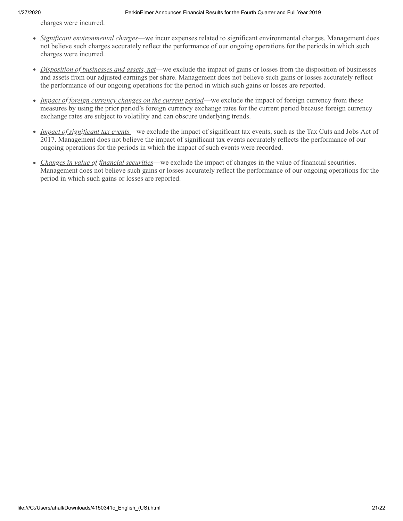charges were incurred.

- *Significant environmental charges*—we incur expenses related to significant environmental charges. Management does not believe such charges accurately reflect the performance of our ongoing operations for the periods in which such charges were incurred.
- *Disposition of businesses and assets, net*—we exclude the impact of gains or losses from the disposition of businesses and assets from our adjusted earnings per share. Management does not believe such gains or losses accurately reflect the performance of our ongoing operations for the period in which such gains or losses are reported.
- *Impact of foreign currency changes on the current period*—we exclude the impact of foreign currency from these measures by using the prior period's foreign currency exchange rates for the current period because foreign currency exchange rates are subject to volatility and can obscure underlying trends.
- *Impact of significant tax events*  we exclude the impact of significant tax events, such as the Tax Cuts and Jobs Act of 2017. Management does not believe the impact of significant tax events accurately reflects the performance of our ongoing operations for the periods in which the impact of such events were recorded.
- *Changes in value of financial securities*—we exclude the impact of changes in the value of financial securities. Management does not believe such gains or losses accurately reflect the performance of our ongoing operations for the period in which such gains or losses are reported.